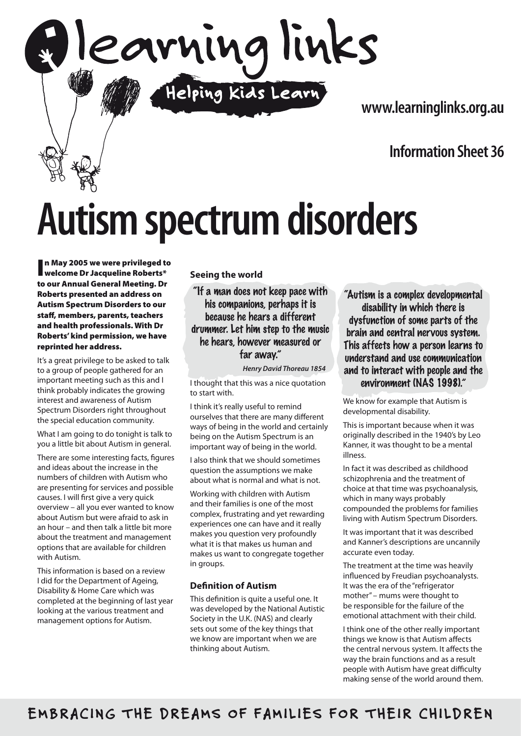

**www.learninglinks.org.au**

## **Information Sheet 36**

# **Autism spectrum disorders**

In May 2005 we were privileged to<br>I welcome Dr Jacqueline Roberts\* n May 2005 we were privileged to to our Annual General Meeting. Dr Roberts presented an address on Autism Spectrum Disorders to our staff, members, parents, teachers and health professionals. With Dr Roberts' kind permission, we have reprinted her address.

It's a great privilege to be asked to talk to a group of people gathered for an important meeting such as this and I think probably indicates the growing interest and awareness of Autism Spectrum Disorders right throughout the special education community.

What I am going to do tonight is talk to you a little bit about Autism in general.

There are some interesting facts, figures and ideas about the increase in the numbers of children with Autism who are presenting for services and possible causes. I will first give a very quick overview – all you ever wanted to know about Autism but were afraid to ask in an hour – and then talk a little bit more about the treatment and management options that are available for children with Autism.

This information is based on a review I did for the Department of Ageing, Disability & Home Care which was completed at the beginning of last year looking at the various treatment and management options for Autism.

#### **Seeing the world**

"If a man does not keep pace with his companions, perhaps it is because he hears a different drummer. Let him step to the music he hears, however measured or far away."

*Henry David Thoreau 1854*

I thought that this was a nice quotation to start with.

I think it's really useful to remind ourselves that there are many different ways of being in the world and certainly being on the Autism Spectrum is an important way of being in the world.

I also think that we should sometimes question the assumptions we make about what is normal and what is not.

Working with children with Autism and their families is one of the most complex, frustrating and yet rewarding experiences one can have and it really makes you question very profoundly what it is that makes us human and makes us want to congregate together in groups.

#### **Definition of Autism**

This definition is quite a useful one. It was developed by the National Autistic Society in the U.K. (NAS) and clearly sets out some of the key things that we know are important when we are thinking about Autism.

"Autism is a complex developmental disability in which there is dysfunction of some parts of the brain and central nervous system. This affects how a person learns to understand and use communication and to interact with people and the environment (NAS 1998)."

We know for example that Autism is developmental disability.

This is important because when it was originally described in the 1940's by Leo Kanner, it was thought to be a mental illness.

In fact it was described as childhood schizophrenia and the treatment of choice at that time was psychoanalysis, which in many ways probably compounded the problems for families living with Autism Spectrum Disorders.

It was important that it was described and Kanner's descriptions are uncannily accurate even today.

The treatment at the time was heavily influenced by Freudian psychoanalysts. It was the era of the "refrigerator mother" – mums were thought to be responsible for the failure of the emotional attachment with their child.

I think one of the other really important things we know is that Autism affects the central nervous system. It affects the way the brain functions and as a result people with Autism have great difficulty making sense of the world around them.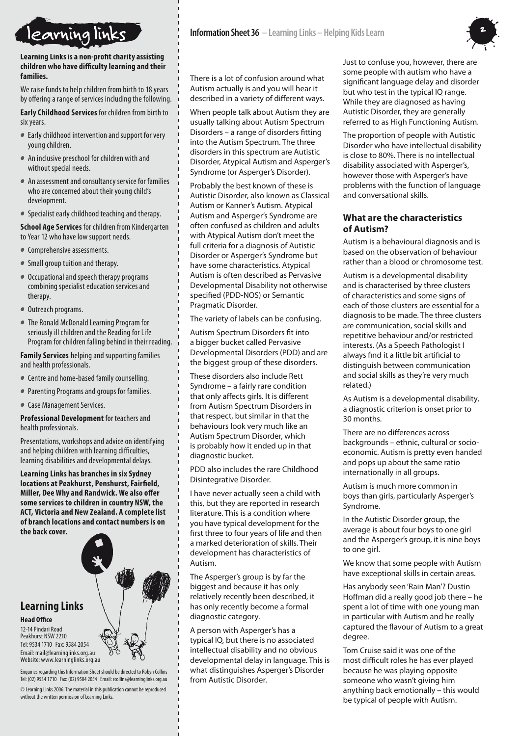

**Learning Links is a non-profit charity assisting children who have difficulty learning and their families.**

We raise funds to help children from birth to 18 years by offering a range of services including the following.

**Early Childhood Services** for children from birth to six years.

- Early childhood intervention and support for very young children.
- An inclusive preschool for children with and without special needs.
- An assessment and consultancy service for families who are concerned about their young child's development.
- Specialist early childhood teaching and therapy.

**School Age Services** for children from Kindergarten to Year 12 who have low support needs.

- Comprehensive assessments.
- Small group tuition and therapy.
- Occupational and speech therapy programs combining specialist education services and therapy.
- Outreach programs.
- The Ronald McDonald Learning Program for seriously ill children and the Reading for Life Program for children falling behind in their reading.

**Family Services** helping and supporting families and health professionals.

- Centre and home-based family counselling.
- Parenting Programs and groups for families.
- Case Management Services.

**Professional Development** for teachers and health professionals.

Presentations, workshops and advice on identifying and helping children with learning difficulties, learning disabilities and developmental delays.

**Learning Links has branches in six Sydney locations at Peakhurst, Penshurst, Fairfield, Miller, Dee Why and Randwick. We also offer some services to children in country NSW, the ACT, Victoria and New Zealand. A complete list of branch locations and contact numbers is on the back cover.**

#### **Learning Links Head Office**

12-14 Pindari Road Peakhurst NSW 2210 Tel: 9534 1710 Fax: 9584 2054 Email: mail@learninglinks.org.au Website: www.learninglinks.org.au

Enquiries regarding this Information Sheet should be directed to Robyn Collins Tel: (02) 9534 1710 Fax: (02) 9584 2054 Email: rcollins@learninglinks.org.au

© Learning Links 2006. The material in this publication cannot be reproduced without the written nermission of Learning Links.



There is a lot of confusion around what Autism actually is and you will hear it described in a variety of different ways.

When people talk about Autism they are usually talking about Autism Spectrum Disorders – a range of disorders fitting into the Autism Spectrum. The three disorders in this spectrum are Autistic Disorder, Atypical Autism and Asperger's Syndrome (or Asperger's Disorder).

Probably the best known of these is Autistic Disorder, also known as Classical Autism or Kanner's Autism. Atypical Autism and Asperger's Syndrome are often confused as children and adults with Atypical Autism don't meet the full criteria for a diagnosis of Autistic Disorder or Asperger's Syndrome but have some characteristics. Atypical Autism is often described as Pervasive Developmental Disability not otherwise specified (PDD-NOS) or Semantic Pragmatic Disorder.

The variety of labels can be confusing.

Autism Spectrum Disorders fit into a bigger bucket called Pervasive Developmental Disorders (PDD) and are the biggest group of these disorders.

These disorders also include Rett Syndrome – a fairly rare condition that only affects girls. It is different from Autism Spectrum Disorders in that respect, but similar in that the behaviours look very much like an Autism Spectrum Disorder, which is probably how it ended up in that diagnostic bucket.

PDD also includes the rare Childhood Disintegrative Disorder.

I have never actually seen a child with this, but they are reported in research literature. This is a condition where you have typical development for the first three to four years of life and then a marked deterioration of skills. Their development has characteristics of Autism.

The Asperger's group is by far the biggest and because it has only relatively recently been described, it has only recently become a formal diagnostic category.

A person with Asperger's has a typical IQ, but there is no associated intellectual disability and no obvious developmental delay in language. This is what distinguishes Asperger's Disorder from Autistic Disorder.

Just to confuse you, however, there are some people with autism who have a significant language delay and disorder but who test in the typical IQ range. While they are diagnosed as having Autistic Disorder, they are generally referred to as High Functioning Autism.

The proportion of people with Autistic Disorder who have intellectual disability is close to 80%. There is no intellectual disability associated with Asperger's, however those with Asperger's have problems with the function of language and conversational skills.

#### **What are the characteristics of Autism?**

Autism is a behavioural diagnosis and is based on the observation of behaviour rather than a blood or chromosome test.

Autism is a developmental disability and is characterised by three clusters of characteristics and some signs of each of those clusters are essential for a diagnosis to be made. The three clusters are communication, social skills and repetitive behaviour and/or restricted interests. (As a Speech Pathologist I always find it a little bit artificial to distinguish between communication and social skills as they're very much related.)

As Autism is a developmental disability, a diagnostic criterion is onset prior to 30 months.

There are no differences across backgrounds – ethnic, cultural or socioeconomic. Autism is pretty even handed and pops up about the same ratio internationally in all groups.

Autism is much more common in boys than girls, particularly Asperger's Syndrome.

In the Autistic Disorder group, the average is about four boys to one girl and the Asperger's group, it is nine boys to one girl.

We know that some people with Autism have exceptional skills in certain areas.

Has anybody seen 'Rain Man'? Dustin Hoffman did a really good job there – he spent a lot of time with one young man in particular with Autism and he really captured the flavour of Autism to a great degree.

Tom Cruise said it was one of the most difficult roles he has ever played because he was playing opposite someone who wasn't giving him anything back emotionally – this would be typical of people with Autism.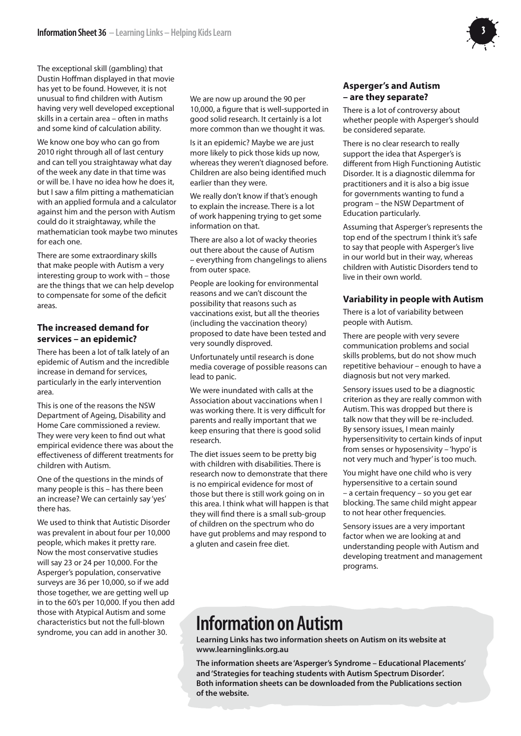

The exceptional skill (gambling) that Dustin Hoffman displayed in that movie has yet to be found. However, it is not unusual to find children with Autism having very well developed exceptional skills in a certain area – often in maths and some kind of calculation ability.

We know one boy who can go from 2010 right through all of last century and can tell you straightaway what day of the week any date in that time was or will be. I have no idea how he does it, but I saw a film pitting a mathematician with an applied formula and a calculator against him and the person with Autism could do it straightaway, while the mathematician took maybe two minutes for each one.

There are some extraordinary skills that make people with Autism a very interesting group to work with – those are the things that we can help develop to compensate for some of the deficit areas.

#### **The increased demand for services – an epidemic?**

There has been a lot of talk lately of an epidemic of Autism and the incredible increase in demand for services, particularly in the early intervention area.

This is one of the reasons the NSW Department of Ageing, Disability and Home Care commissioned a review. They were very keen to find out what empirical evidence there was about the effectiveness of different treatments for children with Autism.

One of the questions in the minds of many people is this – has there been an increase? We can certainly say 'yes' there has.

We used to think that Autistic Disorder was prevalent in about four per 10,000 people, which makes it pretty rare. Now the most conservative studies will say 23 or 24 per 10,000. For the Asperger's population, conservative surveys are 36 per 10,000, so if we add those together, we are getting well up in to the 60's per 10,000. If you then add those with Atypical Autism and some characteristics but not the full-blown syndrome, you can add in another 30.

We are now up around the 90 per 10,000, a figure that is well-supported in good solid research. It certainly is a lot more common than we thought it was.

Is it an epidemic? Maybe we are just more likely to pick those kids up now, whereas they weren't diagnosed before. Children are also being identified much earlier than they were.

We really don't know if that's enough to explain the increase. There is a lot of work happening trying to get some information on that.

There are also a lot of wacky theories out there about the cause of Autism – everything from changelings to aliens from outer space.

People are looking for environmental reasons and we can't discount the possibility that reasons such as vaccinations exist, but all the theories (including the vaccination theory) proposed to date have been tested and very soundly disproved.

Unfortunately until research is done media coverage of possible reasons can lead to panic.

We were inundated with calls at the Association about vaccinations when I was working there. It is very difficult for parents and really important that we keep ensuring that there is good solid research.

The diet issues seem to be pretty big with children with disabilities. There is research now to demonstrate that there is no empirical evidence for most of those but there is still work going on in this area. I think what will happen is that they will find there is a small sub-group of children on the spectrum who do have gut problems and may respond to a gluten and casein free diet.

#### **Asperger's and Autism – are they separate?**

There is a lot of controversy about whether people with Asperger's should be considered separate.

There is no clear research to really support the idea that Asperger's is different from High Functioning Autistic Disorder. It is a diagnostic dilemma for practitioners and it is also a big issue for governments wanting to fund a program – the NSW Department of Education particularly.

Assuming that Asperger's represents the top end of the spectrum I think it's safe to say that people with Asperger's live in our world but in their way, whereas children with Autistic Disorders tend to live in their own world.

#### **Variability in people with Autism**

There is a lot of variability between people with Autism.

There are people with very severe communication problems and social skills problems, but do not show much repetitive behaviour – enough to have a diagnosis but not very marked.

Sensory issues used to be a diagnostic criterion as they are really common with Autism. This was dropped but there is talk now that they will be re-included. By sensory issues, I mean mainly hypersensitivity to certain kinds of input from senses or hyposensivity – 'hypo' is not very much and 'hyper' is too much.

You might have one child who is very hypersensitive to a certain sound – a certain frequency – so you get ear blocking. The same child might appear to not hear other frequencies.

Sensory issues are a very important factor when we are looking at and understanding people with Autism and developing treatment and management programs.

## **Information on Autism**

**Learning Links has two information sheets on Autism on its website at www.learninglinks.org.au**

**The information sheets are 'Asperger's Syndrome – Educational Placements' and 'Strategies for teaching students with Autism Spectrum Disorder'. Both information sheets can be downloaded from the Publications section of the website.**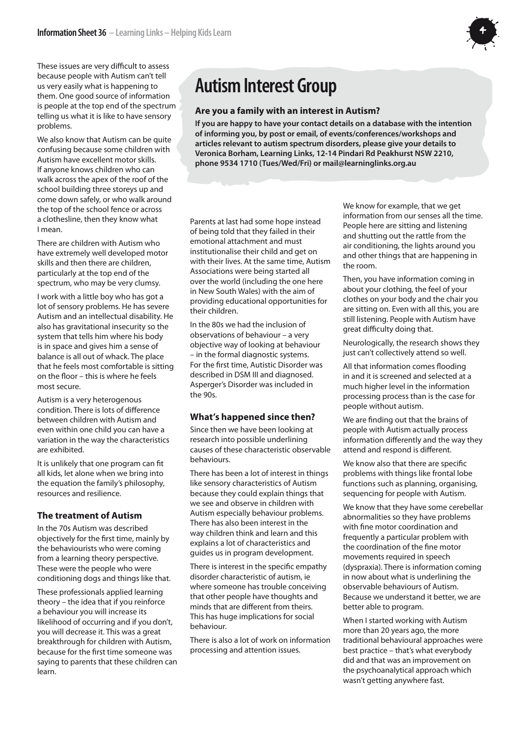

These issues are very difficult to assess because people with Autism can't tell us very easily what is happening to them. One good source of information is people at the top end of the spectrum telling us what it is like to have sensory problems.

We also know that Autism can be quite confusing because some children with Autism have excellent motor skills. If anyone knows children who can walk across the apex of the roof of the school building three storeys up and come down safely, or who walk around the top of the school fence or across a clothesline, then they know what I mean.

There are children with Autism who have extremely well developed motor skills and then there are children, particularly at the top end of the spectrum, who may be very clumsy.

I work with a little boy who has got a lot of sensory problems. He has severe Autism and an intellectual disability. He also has gravitational insecurity so the system that tells him where his body is in space and gives him a sense of balance is all out of whack. The place that he feels most comfortable is sitting on the floor – this is where he feels most secure.

Autism is a very heterogenous condition. There is lots of difference between children with Autism and even within one child you can have a variation in the way the characteristics are exhibited.

It is unlikely that one program can fit all kids, let alone when we bring into the equation the family's philosophy, resources and resilience.

#### **The treatment of Autism**

In the 70s Autism was described objectively for the first time, mainly by the behaviourists who were coming from a learning theory perspective. These were the people who were conditioning dogs and things like that.

These professionals applied learning theory – the idea that if you reinforce a behaviour you will increase its likelihood of occurring and if you don't, you will decrease it. This was a great breakthrough for children with Autism, because for the first time someone was saying to parents that these children can learn.

## **Autism Interest Group**

#### **Are you a family with an interest in Autism?**

**If you are happy to have your contact details on a database with the intention of informing you, by post or email, of events/conferences/workshops and articles relevant to autism spectrum disorders, please give your details to Veronica Borham, Learning Links, 12-14 Pindari Rd Peakhurst NSW 2210, phone 9534 1710 (Tues/Wed/Fri) or mail@learninglinks.org.au**

Parents at last had some hope instead of being told that they failed in their emotional attachment and must institutionalise their child and get on with their lives. At the same time, Autism Associations were being started all over the world (including the one here in New South Wales) with the aim of providing educational opportunities for their children.

In the 80s we had the inclusion of observations of behaviour – a very objective way of looking at behaviour – in the formal diagnostic systems. For the first time, Autistic Disorder was described in DSM III and diagnosed. Asperger's Disorder was included in the 90s.

#### **What's happened since then?**

Since then we have been looking at research into possible underlining causes of these characteristic observable behaviours.

There has been a lot of interest in things like sensory characteristics of Autism because they could explain things that we see and observe in children with Autism especially behaviour problems. There has also been interest in the way children think and learn and this explains a lot of characteristics and guides us in program development.

There is interest in the specific empathy disorder characteristic of autism, ie where someone has trouble conceiving that other people have thoughts and minds that are different from theirs. This has huge implications for social behaviour.

There is also a lot of work on information processing and attention issues.

We know for example, that we get information from our senses all the time. People here are sitting and listening and shutting out the rattle from the air conditioning, the lights around you and other things that are happening in the room.

Then, you have information coming in about your clothing, the feel of your clothes on your body and the chair you are sitting on. Even with all this, you are still listening. People with Autism have great difficulty doing that.

Neurologically, the research shows they just can't collectively attend so well.

All that information comes flooding in and it is screened and selected at a much higher level in the information processing process than is the case for people without autism.

We are finding out that the brains of people with Autism actually process information differently and the way they attend and respond is different.

We know also that there are specific problems with things like frontal lobe functions such as planning, organising, sequencing for people with Autism.

We know that they have some cerebellar abnormalities so they have problems with fine motor coordination and frequently a particular problem with the coordination of the fine motor movements required in speech (dyspraxia). There is information coming in now about what is underlining the observable behaviours of Autism. Because we understand it better, we are better able to program.

When I started working with Autism more than 20 years ago, the more traditional behavioural approaches were best practice – that's what everybody did and that was an improvement on the psychoanalytical approach which wasn't getting anywhere fast.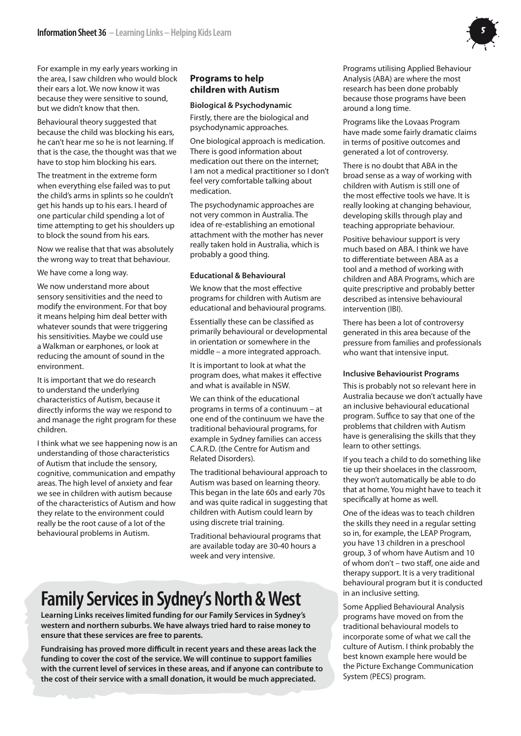For example in my early years working in the area, I saw children who would block their ears a lot. We now know it was because they were sensitive to sound, but we didn't know that then.

Behavioural theory suggested that because the child was blocking his ears, he can't hear me so he is not learning. If that is the case, the thought was that we have to stop him blocking his ears.

The treatment in the extreme form when everything else failed was to put the child's arms in splints so he couldn't get his hands up to his ears. I heard of one particular child spending a lot of time attempting to get his shoulders up to block the sound from his ears.

Now we realise that that was absolutely the wrong way to treat that behaviour.

We have come a long way.

We now understand more about sensory sensitivities and the need to modify the environment. For that boy it means helping him deal better with whatever sounds that were triggering his sensitivities. Maybe we could use a Walkman or earphones, or look at reducing the amount of sound in the environment.

It is important that we do research to understand the underlying characteristics of Autism, because it directly informs the way we respond to and manage the right program for these children.

I think what we see happening now is an understanding of those characteristics of Autism that include the sensory, cognitive, communication and empathy areas. The high level of anxiety and fear we see in children with autism because of the characteristics of Autism and how they relate to the environment could really be the root cause of a lot of the behavioural problems in Autism.

### **Programs to help children with Autism**

#### **Biological & Psychodynamic**

Firstly, there are the biological and psychodynamic approaches.

One biological approach is medication. There is good information about medication out there on the internet; I am not a medical practitioner so I don't feel very comfortable talking about medication.

The psychodynamic approaches are not very common in Australia. The idea of re-establishing an emotional attachment with the mother has never really taken hold in Australia, which is probably a good thing.

#### **Educational & Behavioural**

We know that the most effective programs for children with Autism are educational and behavioural programs.

Essentially these can be classified as primarily behavioural or developmental in orientation or somewhere in the middle – a more integrated approach.

It is important to look at what the program does, what makes it effective and what is available in NSW.

We can think of the educational programs in terms of a continuum – at one end of the continuum we have the traditional behavioural programs, for example in Sydney families can access C.A.R.D. (the Centre for Autism and Related Disorders).

The traditional behavioural approach to Autism was based on learning theory. This began in the late 60s and early 70s and was quite radical in suggesting that children with Autism could learn by using discrete trial training.

Traditional behavioural programs that are available today are 30-40 hours a week and very intensive.

## **Family Services in Sydney's North & West**

**Learning Links receives limited funding for our Family Services in Sydney's western and northern suburbs. We have always tried hard to raise money to ensure that these services are free to parents.**

**Fundraising has proved more difficult in recent years and these areas lack the funding to cover the cost of the service. We will continue to support families with the current level of services in these areas, and if anyone can contribute to the cost of their service with a small donation, it would be much appreciated.**

Programs utilising Applied Behaviour Analysis (ABA) are where the most research has been done probably because those programs have been around a long time.

Programs like the Lovaas Program have made some fairly dramatic claims in terms of positive outcomes and generated a lot of controversy.

There is no doubt that ABA in the broad sense as a way of working with children with Autism is still one of the most effective tools we have. It is really looking at changing behaviour, developing skills through play and teaching appropriate behaviour.

Positive behaviour support is very much based on ABA. I think we have to differentiate between ABA as a tool and a method of working with children and ABA Programs, which are quite prescriptive and probably better described as intensive behavioural intervention (IBI).

There has been a lot of controversy generated in this area because of the pressure from families and professionals who want that intensive input.

#### **Inclusive Behaviourist Programs**

This is probably not so relevant here in Australia because we don't actually have an inclusive behavioural educational program. Suffice to say that one of the problems that children with Autism have is generalising the skills that they learn to other settings.

If you teach a child to do something like tie up their shoelaces in the classroom, they won't automatically be able to do that at home. You might have to teach it specifically at home as well.

One of the ideas was to teach children the skills they need in a regular setting so in, for example, the LEAP Program, you have 13 children in a preschool group, 3 of whom have Autism and 10 of whom don't – two staff, one aide and therapy support. It is a very traditional behavioural program but it is conducted in an inclusive setting.

Some Applied Behavioural Analysis programs have moved on from the traditional behavioural models to incorporate some of what we call the culture of Autism. I think probably the best known example here would be the Picture Exchange Communication System (PECS) program.

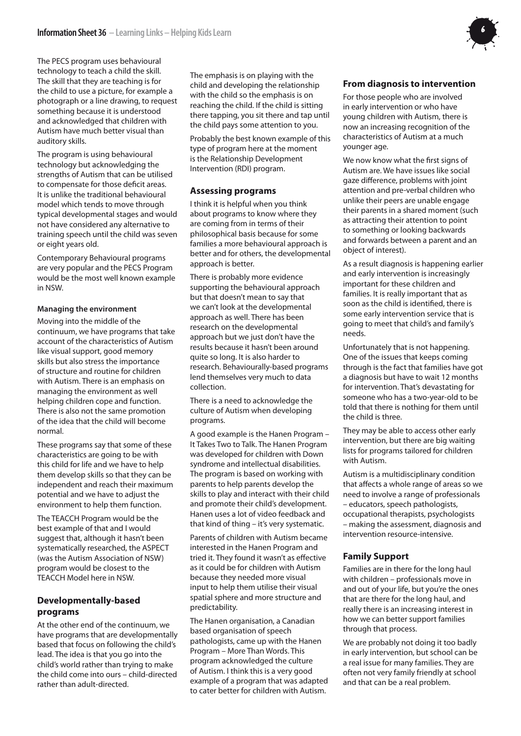The PECS program uses behavioural technology to teach a child the skill. The skill that they are teaching is for the child to use a picture, for example a photograph or a line drawing, to request something because it is understood and acknowledged that children with Autism have much better visual than auditory skills.

The program is using behavioural technology but acknowledging the strengths of Autism that can be utilised to compensate for those deficit areas. It is unlike the traditional behavioural model which tends to move through typical developmental stages and would not have considered any alternative to training speech until the child was seven or eight years old.

Contemporary Behavioural programs are very popular and the PECS Program would be the most well known example in NSW.

#### **Managing the environment**

Moving into the middle of the continuum, we have programs that take account of the characteristics of Autism like visual support, good memory skills but also stress the importance of structure and routine for children with Autism. There is an emphasis on managing the environment as well helping children cope and function. There is also not the same promotion of the idea that the child will become normal.

These programs say that some of these characteristics are going to be with this child for life and we have to help them develop skills so that they can be independent and reach their maximum potential and we have to adjust the environment to help them function.

The TEACCH Program would be the best example of that and I would suggest that, although it hasn't been systematically researched, the ASPECT (was the Autism Association of NSW) program would be closest to the TEACCH Model here in NSW.

#### **Developmentally-based programs**

At the other end of the continuum, we have programs that are developmentally based that focus on following the child's lead. The idea is that you go into the child's world rather than trying to make the child come into ours – child-directed rather than adult-directed.

The emphasis is on playing with the child and developing the relationship with the child so the emphasis is on reaching the child. If the child is sitting there tapping, you sit there and tap until the child pays some attention to you.

Probably the best known example of this type of program here at the moment is the Relationship Development Intervention (RDI) program.

#### **Assessing programs**

I think it is helpful when you think about programs to know where they are coming from in terms of their philosophical basis because for some families a more behavioural approach is better and for others, the developmental approach is better.

There is probably more evidence supporting the behavioural approach but that doesn't mean to say that we can't look at the developmental approach as well. There has been research on the developmental approach but we just don't have the results because it hasn't been around quite so long. It is also harder to research. Behaviourally-based programs lend themselves very much to data collection.

There is a need to acknowledge the culture of Autism when developing programs.

A good example is the Hanen Program – It Takes Two to Talk. The Hanen Program was developed for children with Down syndrome and intellectual disabilities. The program is based on working with parents to help parents develop the skills to play and interact with their child and promote their child's development. Hanen uses a lot of video feedback and that kind of thing – it's very systematic.

Parents of children with Autism became interested in the Hanen Program and tried it. They found it wasn't as effective as it could be for children with Autism because they needed more visual input to help them utilise their visual spatial sphere and more structure and predictability.

The Hanen organisation, a Canadian based organisation of speech pathologists, came up with the Hanen Program – More Than Words. This program acknowledged the culture of Autism. I think this is a very good example of a program that was adapted to cater better for children with Autism.

#### **From diagnosis to intervention**

For those people who are involved in early intervention or who have young children with Autism, there is now an increasing recognition of the characteristics of Autism at a much younger age.

We now know what the first signs of Autism are. We have issues like social gaze difference, problems with joint attention and pre-verbal children who unlike their peers are unable engage their parents in a shared moment (such as attracting their attention to point to something or looking backwards and forwards between a parent and an object of interest).

As a result diagnosis is happening earlier and early intervention is increasingly important for these children and families. It is really important that as soon as the child is identified, there is some early intervention service that is going to meet that child's and family's needs.

Unfortunately that is not happening. One of the issues that keeps coming through is the fact that families have got a diagnosis but have to wait 12 months for intervention. That's devastating for someone who has a two-year-old to be told that there is nothing for them until the child is three.

They may be able to access other early intervention, but there are big waiting lists for programs tailored for children with Autism.

Autism is a multidisciplinary condition that affects a whole range of areas so we need to involve a range of professionals – educators, speech pathologists, occupational therapists, psychologists – making the assessment, diagnosis and intervention resource-intensive.

#### **Family Support**

Families are in there for the long haul with children – professionals move in and out of your life, but you're the ones that are there for the long haul, and really there is an increasing interest in how we can better support families through that process.

We are probably not doing it too badly in early intervention, but school can be a real issue for many families. They are often not very family friendly at school and that can be a real problem.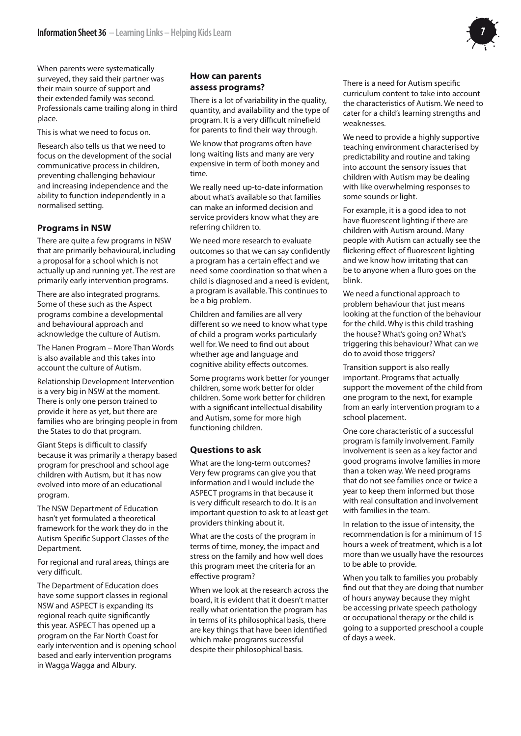

When parents were systematically surveyed, they said their partner was their main source of support and their extended family was second. Professionals came trailing along in third place.

This is what we need to focus on.

Research also tells us that we need to focus on the development of the social communicative process in children, preventing challenging behaviour and increasing independence and the ability to function independently in a normalised setting.

#### **Programs in NSW**

There are quite a few programs in NSW that are primarily behavioural, including a proposal for a school which is not actually up and running yet. The rest are primarily early intervention programs.

There are also integrated programs. Some of these such as the Aspect programs combine a developmental and behavioural approach and acknowledge the culture of Autism.

The Hanen Program – More Than Words is also available and this takes into account the culture of Autism.

Relationship Development Intervention is a very big in NSW at the moment. There is only one person trained to provide it here as yet, but there are families who are bringing people in from the States to do that program.

Giant Steps is difficult to classify because it was primarily a therapy based program for preschool and school age children with Autism, but it has now evolved into more of an educational program.

The NSW Department of Education hasn't yet formulated a theoretical framework for the work they do in the Autism Specific Support Classes of the Department.

For regional and rural areas, things are very difficult.

The Department of Education does have some support classes in regional NSW and ASPECT is expanding its regional reach quite significantly this year. ASPECT has opened up a program on the Far North Coast for early intervention and is opening school based and early intervention programs in Wagga Wagga and Albury.

#### **How can parents assess programs?**

There is a lot of variability in the quality, quantity, and availability and the type of program. It is a very difficult minefield for parents to find their way through.

We know that programs often have long waiting lists and many are very expensive in term of both money and time.

We really need up-to-date information about what's available so that families can make an informed decision and service providers know what they are referring children to.

We need more research to evaluate outcomes so that we can say confidently a program has a certain effect and we need some coordination so that when a child is diagnosed and a need is evident, a program is available. This continues to be a big problem.

Children and families are all very different so we need to know what type of child a program works particularly well for. We need to find out about whether age and language and cognitive ability effects outcomes.

Some programs work better for younger children, some work better for older children. Some work better for children with a significant intellectual disability and Autism, some for more high functioning children.

#### **Questions to ask**

What are the long-term outcomes? Very few programs can give you that information and I would include the ASPECT programs in that because it is very difficult research to do. It is an important question to ask to at least get providers thinking about it.

What are the costs of the program in terms of time, money, the impact and stress on the family and how well does this program meet the criteria for an effective program?

When we look at the research across the board, it is evident that it doesn't matter really what orientation the program has in terms of its philosophical basis, there are key things that have been identified which make programs successful despite their philosophical basis.

There is a need for Autism specific curriculum content to take into account the characteristics of Autism. We need to cater for a child's learning strengths and weaknesses.

We need to provide a highly supportive teaching environment characterised by predictability and routine and taking into account the sensory issues that children with Autism may be dealing with like overwhelming responses to some sounds or light.

For example, it is a good idea to not have fluorescent lighting if there are children with Autism around. Many people with Autism can actually see the flickering effect of fluorescent lighting and we know how irritating that can be to anyone when a fluro goes on the blink.

We need a functional approach to problem behaviour that just means looking at the function of the behaviour for the child. Why is this child trashing the house? What's going on? What's triggering this behaviour? What can we do to avoid those triggers?

Transition support is also really important. Programs that actually support the movement of the child from one program to the next, for example from an early intervention program to a school placement.

One core characteristic of a successful program is family involvement. Family involvement is seen as a key factor and good programs involve families in more than a token way. We need programs that do not see families once or twice a year to keep them informed but those with real consultation and involvement with families in the team.

In relation to the issue of intensity, the recommendation is for a minimum of 15 hours a week of treatment, which is a lot more than we usually have the resources to be able to provide.

When you talk to families you probably find out that they are doing that number of hours anyway because they might be accessing private speech pathology or occupational therapy or the child is going to a supported preschool a couple of days a week.